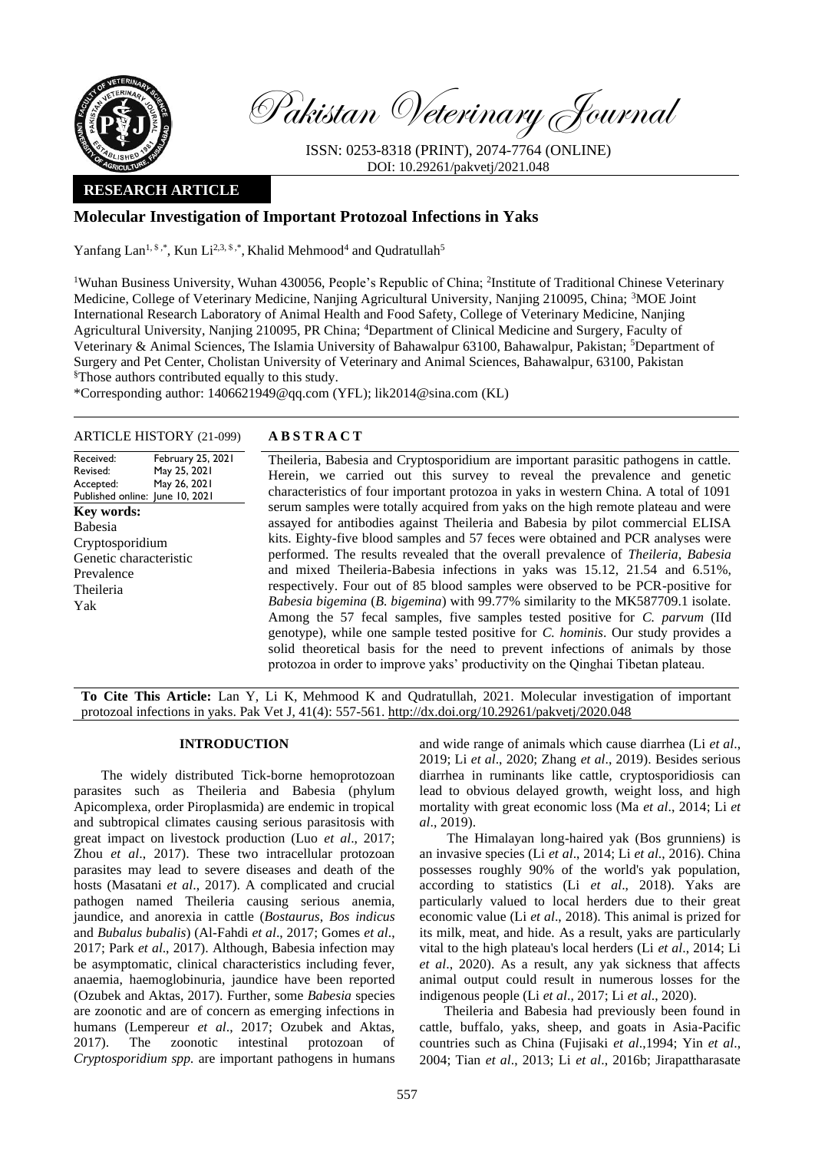

Pakistan Veterinary Journal

ISSN: 0253-8318 (PRINT), 2074-7764 (ONLINE) DOI: 10.29261/pakvetj/2021.048

# **RESEARCH ARTICLE**

# **Molecular Investigation of Important Protozoal Infections in Yaks**

Yanfang Lan<sup>1, \$,\*</sup>, Kun Li<sup>2,3, \$,\*</sup>, Khalid Mehmood<sup>4</sup> and Qudratullah<sup>5</sup>

<sup>1</sup>Wuhan Business University, Wuhan 430056, People's Republic of China; <sup>2</sup>Institute of Traditional Chinese Veterinary Medicine, College of Veterinary Medicine, Nanjing Agricultural University, Nanjing 210095, China; <sup>3</sup>MOE Joint International Research Laboratory of Animal Health and Food Safety, College of Veterinary Medicine, Nanjing Agricultural University, Nanjing 210095, PR China; <sup>4</sup>Department of Clinical Medicine and Surgery, Faculty of Veterinary & Animal Sciences, The Islamia University of Bahawalpur 63100, Bahawalpur, Pakistan; <sup>5</sup>Department of Surgery and Pet Center, Cholistan University of Veterinary and Animal Sciences, Bahawalpur, 63100, Pakistan §Those authors contributed equally to this study.

\*Corresponding author: [1406621949@qq.com](mailto:1406621949@qq.com) (YFL); lik2014@sina.com (KL)

#### ARTICLE HISTORY (21-099) **A B S T R A C T**

#### Received: Revised: Accepted: Published online: June 10, 2021 February 25, 2021 May 25, 2021 May 26, 2021 **Key words:**  Babesia Cryptosporidium Genetic characteristic Prevalence Theileria Yak

Theileria, Babesia and Cryptosporidium are important parasitic pathogens in cattle. Herein, we carried out this survey to reveal the prevalence and genetic characteristics of four important protozoa in yaks in western China. A total of 1091 serum samples were totally acquired from yaks on the high remote plateau and were assayed for antibodies against Theileria and Babesia by pilot commercial ELISA kits. Eighty-five blood samples and 57 feces were obtained and PCR analyses were performed. The results revealed that the overall prevalence of *Theileria*, *Babesia*  and mixed Theileria-Babesia infections in yaks was 15.12, 21.54 and 6.51%, respectively. Four out of 85 blood samples were observed to be PCR-positive for *Babesia bigemina* (*B. bigemina*) with 99.77% similarity to the MK587709.1 isolate. Among the 57 fecal samples, five samples tested positive for *C. parvum* (IId genotype), while one sample tested positive for *C. hominis*. Our study provides a solid theoretical basis for the need to prevent infections of animals by those protozoa in order to improve yaks' productivity on the Qinghai Tibetan plateau.

**To Cite This Article:** Lan Y, Li K, Mehmood K and Qudratullah, 2021. Molecular investigation of important protozoal infections in yaks. Pak Vet J, 41(4): 557-561. [http://dx.doi.org/10.29261/pakvetj/2020.048](http://pvj.com.pk/pdf-files/41_4/557-561.pdf)

## **INTRODUCTION**

The widely distributed Tick-borne hemoprotozoan parasites such as Theileria and Babesia (phylum Apicomplexa, order Piroplasmida) are endemic in tropical and subtropical climates causing serious parasitosis with great impact on livestock production (Luo *et al*., 2017; Zhou *et al*., 2017). These two intracellular protozoan parasites may lead to severe diseases and death of the hosts (Masatani *et al*., 2017). A complicated and crucial pathogen named Theileria causing serious anemia, jaundice, and anorexia in cattle (*Bostaurus*, *Bos indicus* and *Bubalus bubalis*) (Al-Fahdi *et al*., 2017; Gomes *et al*., 2017; Park *et al*., 2017). Although, Babesia infection may be asymptomatic, clinical characteristics including fever, anaemia, haemoglobinuria, jaundice have been reported (Ozubek and Aktas, 2017). Further, some *Babesia* species are zoonotic and are of concern as emerging infections in humans (Lempereur *et al*., 2017; Ozubek and Aktas, 2017). The zoonotic intestinal protozoan of *Cryptosporidium spp.* are important pathogens in humans

and wide range of animals which cause diarrhea (Li *et al*., 2019; Li *et al*., 2020; Zhang *et al*., 2019). Besides serious diarrhea in ruminants like cattle, cryptosporidiosis can lead to obvious delayed growth, weight loss, and high mortality with great economic loss (Ma *et al*., 2014; Li *et al*., 2019).

The Himalayan long-haired yak (Bos grunniens) is an invasive species (Li *et al*., 2014; Li *et al*., 2016). China possesses roughly 90% of the world's yak population, according to statistics (Li *et al*., 2018). Yaks are particularly valued to local herders due to their great economic value (Li *et al*., 2018). This animal is prized for its milk, meat, and hide. As a result, yaks are particularly vital to the high plateau's local herders (Li *et al*., 2014; Li *et al*., 2020). As a result, any yak sickness that affects animal output could result in numerous losses for the indigenous people (Li *et al*., 2017; Li *et al*., 2020).

Theileria and Babesia had previously been found in cattle, buffalo, yaks, sheep, and goats in Asia-Pacific countries such as China (Fujisaki *et al*.,1994; Yin *et al*., 2004; Tian *et al*., 2013; Li *et al*., 2016b; Jirapattharasate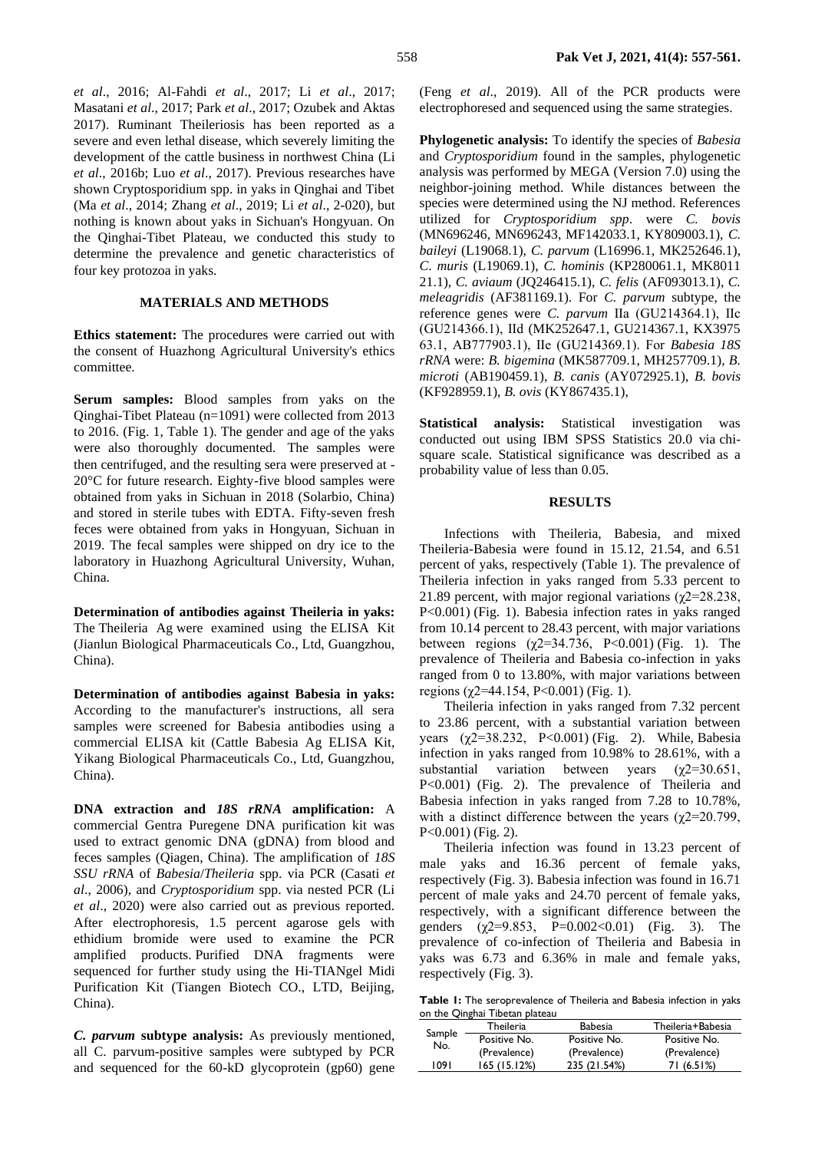*et al*., 2016; Al-Fahdi *et al*., 2017; Li *et al*., 2017; Masatani *et al*., 2017; Park *et al*., 2017; Ozubek and Aktas 2017). Ruminant Theileriosis has been reported as a severe and even lethal disease, which severely limiting the development of the cattle business in northwest China (Li *et al*., 2016b; Luo *et al*., 2017). Previous researches have shown Cryptosporidium spp. in yaks in Qinghai and Tibet (Ma *et al*., 2014; Zhang *et al*., 2019; Li *et al*., 2-020), but nothing is known about yaks in Sichuan's Hongyuan. On the Qinghai-Tibet Plateau, we conducted this study to determine the prevalence and genetic characteristics of four key protozoa in yaks.

## **MATERIALS AND METHODS**

**Ethics statement:** The procedures were carried out with the consent of Huazhong Agricultural University's ethics committee.

**Serum samples:** Blood samples from yaks on the Qinghai-Tibet Plateau (n=1091) were collected from 2013 to 2016. (Fig. 1, Table 1). The gender and age of the yaks were also thoroughly documented. The samples were then centrifuged, and the resulting sera were preserved at - 20°C for future research. Eighty-five blood samples were obtained from yaks in Sichuan in 2018 (Solarbio, China) and stored in sterile tubes with EDTA. Fifty-seven fresh feces were obtained from yaks in Hongyuan, Sichuan in 2019. The fecal samples were shipped on dry ice to the laboratory in Huazhong Agricultural University, Wuhan, China.

**Determination of antibodies against Theileria in yaks:**  The Theileria Ag were examined using the ELISA Kit (Jianlun Biological Pharmaceuticals Co., Ltd, Guangzhou, China).

**Determination of antibodies against Babesia in yaks:**  According to the manufacturer's instructions, all sera samples were screened for Babesia antibodies using a commercial ELISA kit (Cattle Babesia Ag ELISA Kit, Yikang Biological Pharmaceuticals Co., Ltd, Guangzhou, China).

**DNA extraction and** *18S rRNA* **amplification:** A commercial Gentra Puregene DNA purification kit was used to extract genomic DNA (gDNA) from blood and feces samples (Qiagen, China). The amplification of *18S SSU rRNA* of *Babesia*/*Theileria* spp. via PCR (Casati *et al*., 2006), and *Cryptosporidium* spp. via nested PCR (Li *et al*., 2020) were also carried out as previous reported. After electrophoresis, 1.5 percent agarose gels with ethidium bromide were used to examine the PCR amplified products. Purified DNA fragments were sequenced for further study using the Hi-TIANgel Midi Purification Kit (Tiangen Biotech CO., LTD, Beijing, China).

*C. parvum* **subtype analysis:** As previously mentioned, all C. parvum-positive samples were subtyped by PCR and sequenced for the 60-kD glycoprotein (gp60) gene (Feng *et al*., 2019). All of the PCR products were electrophoresed and sequenced using the same strategies.

**Phylogenetic analysis:** To identify the species of *Babesia*  and *Cryptosporidium* found in the samples, phylogenetic analysis was performed by MEGA (Version 7.0) using the neighbor-joining method. While distances between the species were determined using the NJ method. References utilized for *Cryptosporidium spp*. were *C. bovis* (MN696246, MN696243, MF142033.1, KY809003.1), *C. baileyi* (L19068.1), *C. parvum* (L16996.1, MK252646.1), *C. muris* (L19069.1), *C. hominis* (KP280061.1, MK8011 21.1), *C. aviaum* (JQ246415.1), *C. felis* (AF093013.1), *C. meleagridis* (AF381169.1). For *C. parvum* subtype, the reference genes were *C. parvum* Ⅱa (GU214364.1), Ⅱc (GU214366.1), Ⅱd (MK252647.1, GU214367.1, KX3975 63.1, AB777903.1), Ⅱe (GU214369.1). For *Babesia 18S rRNA* were: *B. bigemina* (MK587709.1, MH257709.1), *B. microti* (AB190459.1), *B. canis* (AY072925.1), *B. bovis* (KF928959.1), *B. ovis* (KY867435.1),

**Statistical analysis:** Statistical investigation was conducted out using IBM SPSS Statistics 20.0 via chisquare scale. Statistical significance was described as a probability value of less than 0.05.

#### **RESULTS**

Infections with Theileria, Babesia, and mixed Theileria-Babesia were found in 15.12, 21.54, and 6.51 percent of yaks, respectively (Table 1). The prevalence of Theileria infection in yaks ranged from 5.33 percent to 21.89 percent, with major regional variations ( $\chi$ 2=28.238, P<0.001) (Fig. 1). Babesia infection rates in yaks ranged from 10.14 percent to 28.43 percent, with major variations between regions  $(\chi$ 2=34.736, P<0.001) (Fig. 1). The prevalence of Theileria and Babesia co-infection in yaks ranged from 0 to 13.80%, with major variations between regions (χ2=44.154, P<0.001) (Fig. 1).

Theileria infection in yaks ranged from 7.32 percent to 23.86 percent, with a substantial variation between years (χ2=38.232, P<0.001) (Fig. 2). While, Babesia infection in yaks ranged from 10.98% to 28.61%, with a substantial variation between years  $(\chi^2=30.651,$ P<0.001) (Fig. 2). The prevalence of Theileria and Babesia infection in yaks ranged from 7.28 to 10.78%, with a distinct difference between the years ( $\gamma$ 2=20.799, P<0.001) (Fig. 2).

Theileria infection was found in 13.23 percent of male yaks and 16.36 percent of female yaks, respectively (Fig. 3). Babesia infection was found in 16.71 percent of male yaks and 24.70 percent of female yaks, respectively, with a significant difference between the genders  $(\chi^2=9.853, P=0.002<0.01)$  (Fig. 3). The prevalence of co-infection of Theileria and Babesia in yaks was 6.73 and 6.36% in male and female yaks, respectively (Fig. 3).

**Table 1:** The seroprevalence of Theileria and Babesia infection in yaks on the Qinghai Tibetan plateau

| Sample<br>No. | Theileria    | <b>Babesia</b> | Theileria+Babesia |
|---------------|--------------|----------------|-------------------|
|               | Positive No. | Positive No.   | Positive No.      |
|               | (Prevalence) | (Prevalence)   | (Prevalence)      |
| 1091          | 165(15.12%)  | 235 (21.54%)   | 71 (6.51%)        |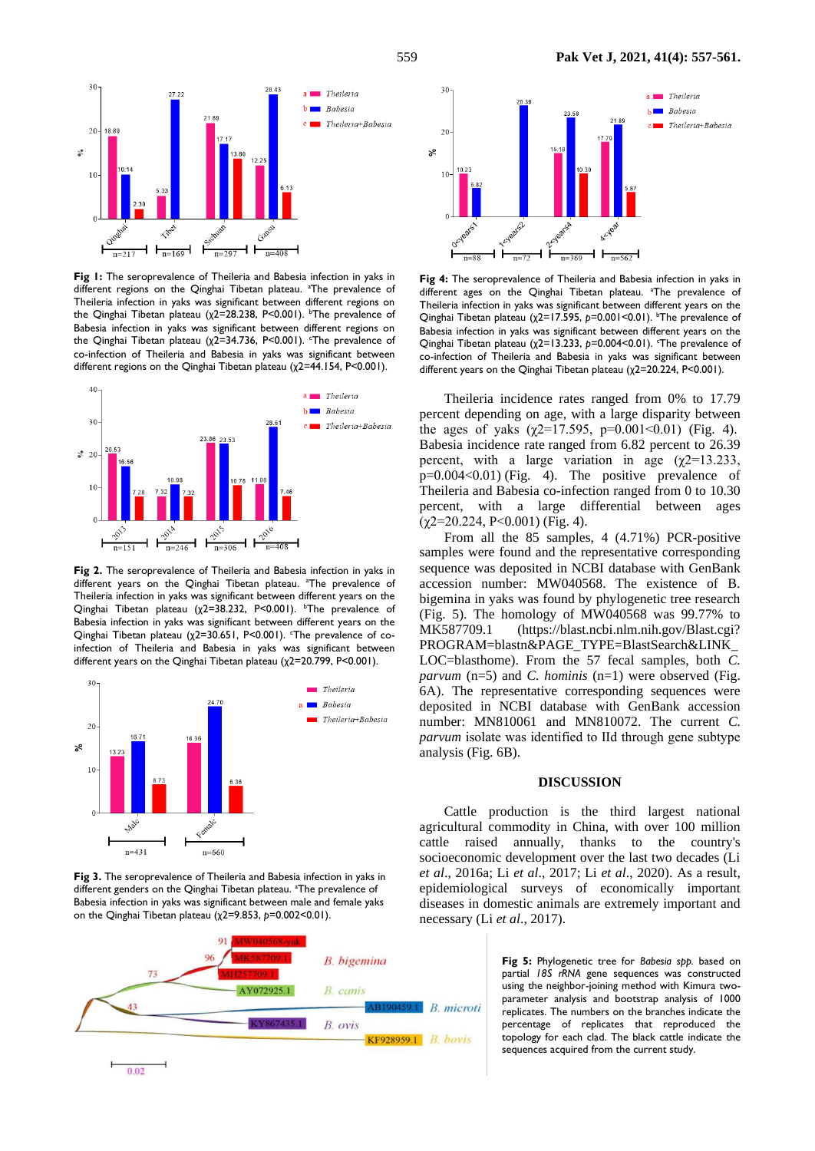

Fig 1: The seroprevalence of Theileria and Babesia infection in yaks in different regions on the Qinghai Tibetan plateau. <sup>a</sup>The prevalence of Theileria infection in yaks was significant between different regions on the Qinghai Tibetan plateau ( $χ$ 2=28.238, P<0.001). <sup>b</sup>The prevalence of Babesia infection in yaks was significant between different regions on the Qinghai Tibetan plateau ( $χ2=34.736$ , P<0.001). The prevalence of co-infection of Theileria and Babesia in yaks was significant between different regions on the Qinghai Tibetan plateau (χ2=44.154, P<0.001).



**Fig 2.** The seroprevalence of Theileria and Babesia infection in yaks in different years on the Qinghai Tibetan plateau. <sup>a</sup>The prevalence of Theileria infection in yaks was significant between different years on the Qinghai Tibetan plateau (χ2=38.232, P<0.001). <sup>b</sup>The prevalence of Babesia infection in yaks was significant between different years on the Qinghai Tibetan plateau ( $\chi$ 2=30.651, P<0.001). The prevalence of coinfection of Theileria and Babesia in yaks was significant between different years on the Qinghai Tibetan plateau (χ2=20.799, P<0.001).



**Fig 3.** The seroprevalence of Theileria and Babesia infection in yaks in different genders on the Qinghai Tibetan plateau. <sup>a</sup>The prevalence of Babesia infection in yaks was significant between male and female yaks on the Qinghai Tibetan plateau (χ2=9.853, *p*=0.002<0.01).





**Fig 4:** The seroprevalence of Theileria and Babesia infection in yaks in different ages on the Qinghai Tibetan plateau. <sup>a</sup>The prevalence of Theileria infection in yaks was significant between different years on the Qinghai Tibetan plateau (χ2=17.595, p=0.001<0.01). <sup>b</sup>The prevalence of Babesia infection in yaks was significant between different years on the Qinghai Tibetan plateau (χ2=13.233, p=0.004<0.01). The prevalence of co-infection of Theileria and Babesia in yaks was significant between different years on the Qinghai Tibetan plateau (χ2=20.224, P<0.001).

Theileria incidence rates ranged from 0% to 17.79 percent depending on age, with a large disparity between the ages of yaks  $(\gamma2=17.595, p=0.001<0.01)$  (Fig. 4). Babesia incidence rate ranged from 6.82 percent to 26.39 percent, with a large variation in age  $(\chi^2=13.233,$  $p=0.004<0.01$ ) (Fig. 4). The positive prevalence of Theileria and Babesia co-infection ranged from 0 to 10.30 percent, with a large differential between ages  $(\gamma 2=20.224, P<0.001)$  (Fig. 4).

From all the 85 samples, 4 (4.71%) PCR-positive samples were found and the representative corresponding sequence was deposited in NCBI database with GenBank accession number: MW040568. The existence of B. bigemina in yaks was found by phylogenetic tree research (Fig. 5). The homology of MW040568 was 99.77% to MK587709.1 (https://blast.ncbi.nlm.nih.gov/Blast.cgi? PROGRAM=blastn&PAGE\_TYPE=BlastSearch&LINK\_ LOC=blasthome). From the 57 fecal samples, both *C. parvum* (n=5) and *C. hominis* (n=1) were observed (Fig. 6A). The representative corresponding sequences were deposited in NCBI database with GenBank accession number: MN810061 and MN810072. The current *C. parvum* isolate was identified to Ⅱd through gene subtype analysis (Fig. 6B).

#### **DISCUSSION**

Cattle production is the third largest national agricultural commodity in China, with over 100 million cattle raised annually, thanks to the country's socioeconomic development over the last two decades (Li *et al*., 2016a; Li *et al*., 2017; Li *et al*., 2020). As a result, epidemiological surveys of economically important diseases in domestic animals are extremely important and necessary (Li *et al*., 2017).

> **Fig 5:** Phylogenetic tree for *Babesia spp.* based on partial *18S rRNA* gene sequences was constructed using the neighbor-joining method with Kimura twoparameter analysis and bootstrap analysis of 1000 replicates. The numbers on the branches indicate the percentage of replicates that reproduced the topology for each clad. The black cattle indicate the sequences acquired from the current study.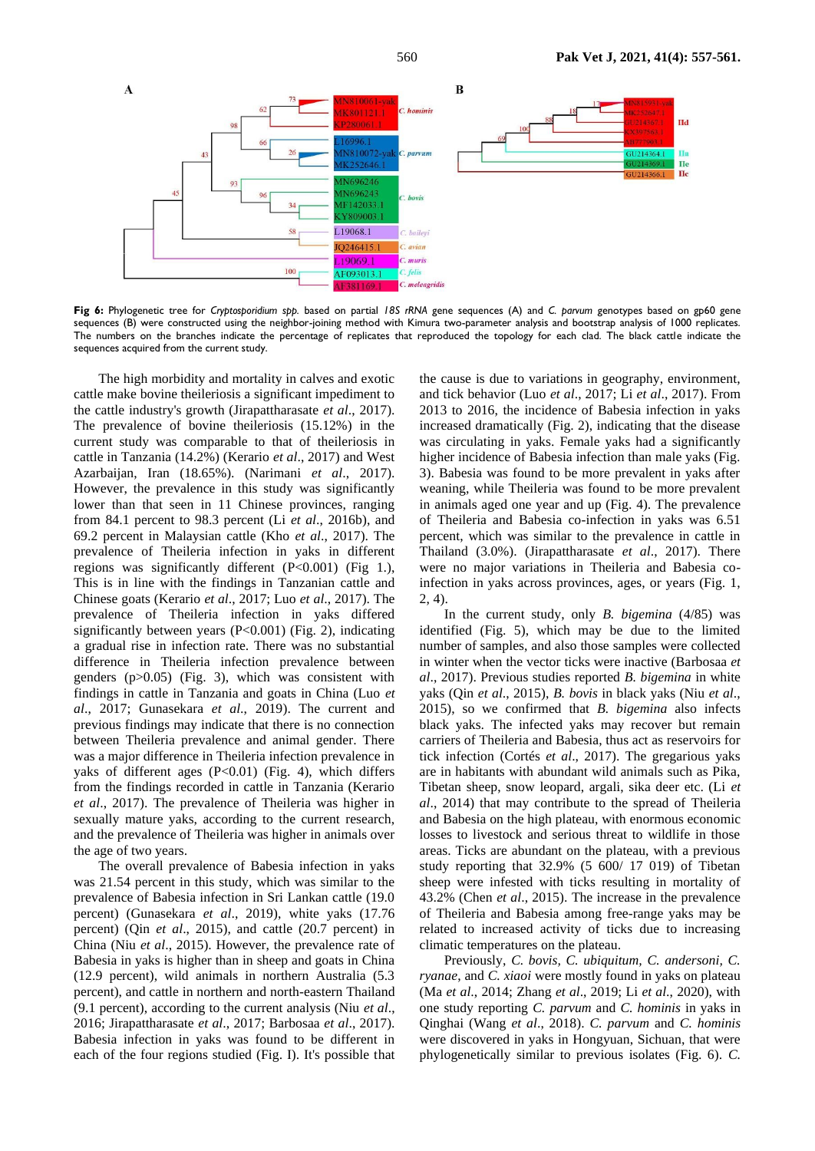

**Fig 6:** Phylogenetic tree for *Cryptosporidium spp.* based on partial *18S rRNA* gene sequences (A) and *C. parvum* genotypes based on gp60 gene sequences (B) were constructed using the neighbor-joining method with Kimura two-parameter analysis and bootstrap analysis of 1000 replicates. The numbers on the branches indicate the percentage of replicates that reproduced the topology for each clad. The black cattle indicate the sequences acquired from the current study.

The high morbidity and mortality in calves and exotic cattle make bovine theileriosis a significant impediment to the cattle industry's growth (Jirapattharasate *et al*., 2017). The prevalence of bovine theileriosis (15.12%) in the current study was comparable to that of theileriosis in cattle in Tanzania (14.2%) (Kerario *et al*., 2017) and West Azarbaijan, Iran (18.65%). (Narimani *et al*., 2017). However, the prevalence in this study was significantly lower than that seen in 11 Chinese provinces, ranging from 84.1 percent to 98.3 percent (Li *et al*., 2016b), and 69.2 percent in Malaysian cattle (Kho *et al*., 2017). The prevalence of Theileria infection in yaks in different regions was significantly different (P<0.001) (Fig 1.), This is in line with the findings in Tanzanian cattle and Chinese goats (Kerario *et al*., 2017; Luo *et al*., 2017). The prevalence of Theileria infection in yaks differed significantly between years (P<0.001) (Fig. 2), indicating a gradual rise in infection rate. There was no substantial difference in Theileria infection prevalence between genders (p>0.05) (Fig. 3), which was consistent with findings in cattle in Tanzania and goats in China (Luo *et al*., 2017; Gunasekara *et al*., 2019). The current and previous findings may indicate that there is no connection between Theileria prevalence and animal gender. There was a major difference in Theileria infection prevalence in yaks of different ages  $(P<0.01)$  (Fig. 4), which differs from the findings recorded in cattle in Tanzania (Kerario *et al*., 2017). The prevalence of Theileria was higher in sexually mature yaks, according to the current research, and the prevalence of Theileria was higher in animals over the age of two years.

The overall prevalence of Babesia infection in yaks was 21.54 percent in this study, which was similar to the prevalence of Babesia infection in Sri Lankan cattle (19.0 percent) (Gunasekara *et al*., 2019), white yaks (17.76 percent) (Qin *et al*., 2015), and cattle (20.7 percent) in China (Niu *et al*., 2015). However, the prevalence rate of Babesia in yaks is higher than in sheep and goats in China (12.9 percent), wild animals in northern Australia (5.3 percent), and cattle in northern and north-eastern Thailand (9.1 percent), according to the current analysis (Niu *et al*., 2016; Jirapattharasate *et al*., 2017; Barbosaa *et al*., 2017). Babesia infection in yaks was found to be different in each of the four regions studied (Fig. I). It's possible that

the cause is due to variations in geography, environment, and tick behavior (Luo *et al*., 2017; Li *et al*., 2017). From 2013 to 2016, the incidence of Babesia infection in yaks increased dramatically (Fig. 2), indicating that the disease was circulating in yaks. Female yaks had a significantly higher incidence of Babesia infection than male yaks (Fig. 3). Babesia was found to be more prevalent in yaks after weaning, while Theileria was found to be more prevalent in animals aged one year and up (Fig. 4). The prevalence of Theileria and Babesia co-infection in yaks was 6.51 percent, which was similar to the prevalence in cattle in Thailand (3.0%). (Jirapattharasate *et al*., 2017). There were no major variations in Theileria and Babesia coinfection in yaks across provinces, ages, or years (Fig. 1,  $2, 4)$ 

In the current study, only *B. bigemina* (4/85) was identified (Fig. 5), which may be due to the limited number of samples, and also those samples were collected in winter when the vector ticks were inactive (Barbosaa *et al*., 2017). Previous studies reported *B. bigemina* in white yaks (Qin *et al*., 2015), *B. bovis* in black yaks (Niu *et al*., 2015), so we confirmed that *B. bigemina* also infects black yaks. The infected yaks may recover but remain carriers of Theileria and Babesia, thus act as reservoirs for tick infection (Cortés *et al*., 2017). The gregarious yaks are in habitants with abundant wild animals such as Pika, Tibetan sheep, snow leopard, argali, sika deer etc. (Li *et al*., 2014) that may contribute to the spread of Theileria and Babesia on the high plateau, with enormous economic losses to livestock and serious threat to wildlife in those areas. Ticks are abundant on the plateau, with a previous study reporting that 32.9% (5 600/ 17 019) of Tibetan sheep were infested with ticks resulting in mortality of 43.2% (Chen *et al*., 2015). The increase in the prevalence of Theileria and Babesia among free-range yaks may be related to increased activity of ticks due to increasing climatic temperatures on the plateau.

Previously, *C. bovis, C. ubiquitum, C. andersoni, C. ryanae*, and *C. xiaoi* were mostly found in yaks on plateau (Ma *et al*., 2014; Zhang *et al*., 2019; Li *et al*., 2020), with one study reporting *C. parvum* and *C. hominis* in yaks in Qinghai (Wang *et al*., 2018). *C. parvum* and *C. hominis* were discovered in yaks in Hongyuan, Sichuan, that were phylogenetically similar to previous isolates (Fig. 6). *C.*